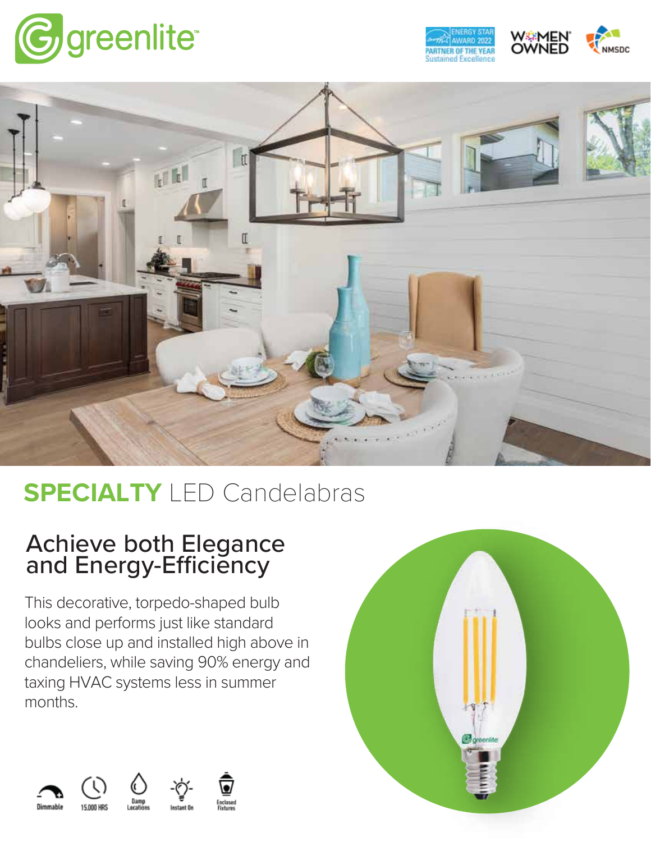





## **SPECIALTY** LED Candelabras

## Achieve both Elegance and Energy-Efficiency

This decorative, torpedo-shaped bulb looks and performs just like standard bulbs close up and installed high above in chandeliers, while saving 90% energy and taxing HVAC systems less in summer months.